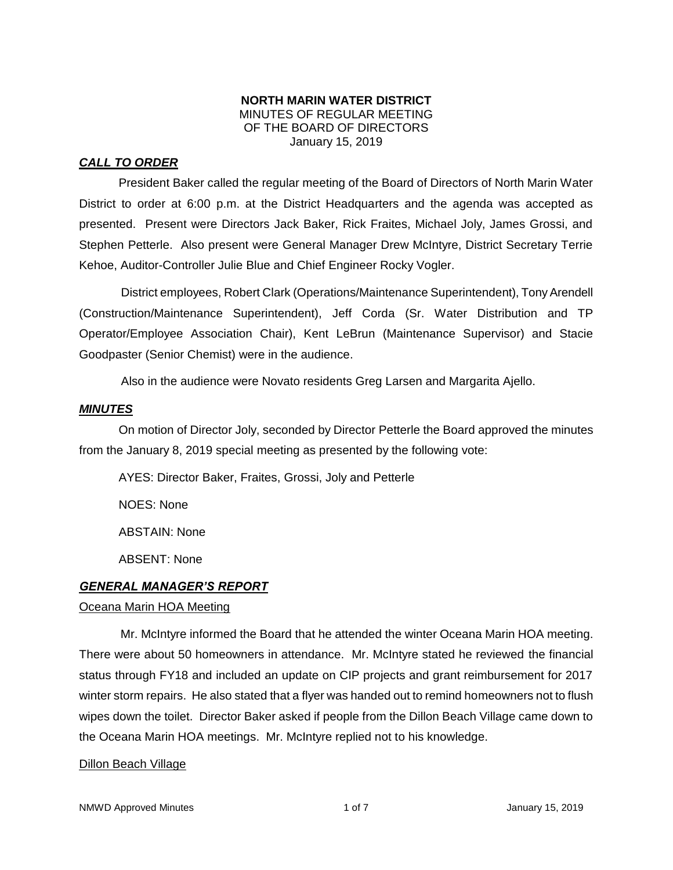### **NORTH MARIN WATER DISTRICT** MINUTES OF REGULAR MEETING OF THE BOARD OF DIRECTORS January 15, 2019

# *CALL TO ORDER*

President Baker called the regular meeting of the Board of Directors of North Marin Water District to order at 6:00 p.m. at the District Headquarters and the agenda was accepted as presented. Present were Directors Jack Baker, Rick Fraites, Michael Joly, James Grossi, and Stephen Petterle. Also present were General Manager Drew McIntyre, District Secretary Terrie Kehoe, Auditor-Controller Julie Blue and Chief Engineer Rocky Vogler.

District employees, Robert Clark (Operations/Maintenance Superintendent), Tony Arendell (Construction/Maintenance Superintendent), Jeff Corda (Sr. Water Distribution and TP Operator/Employee Association Chair), Kent LeBrun (Maintenance Supervisor) and Stacie Goodpaster (Senior Chemist) were in the audience.

Also in the audience were Novato residents Greg Larsen and Margarita Ajello.

### *MINUTES*

On motion of Director Joly, seconded by Director Petterle the Board approved the minutes from the January 8, 2019 special meeting as presented by the following vote:

AYES: Director Baker, Fraites, Grossi, Joly and Petterle NOES: None ABSTAIN: None ABSENT: None *GENERAL MANAGER'S REPORT* 

### Oceana Marin HOA Meeting

Mr. McIntyre informed the Board that he attended the winter Oceana Marin HOA meeting. There were about 50 homeowners in attendance. Mr. McIntyre stated he reviewed the financial status through FY18 and included an update on CIP projects and grant reimbursement for 2017 winter storm repairs. He also stated that a flyer was handed out to remind homeowners not to flush wipes down the toilet. Director Baker asked if people from the Dillon Beach Village came down to the Oceana Marin HOA meetings. Mr. McIntyre replied not to his knowledge.

### Dillon Beach Village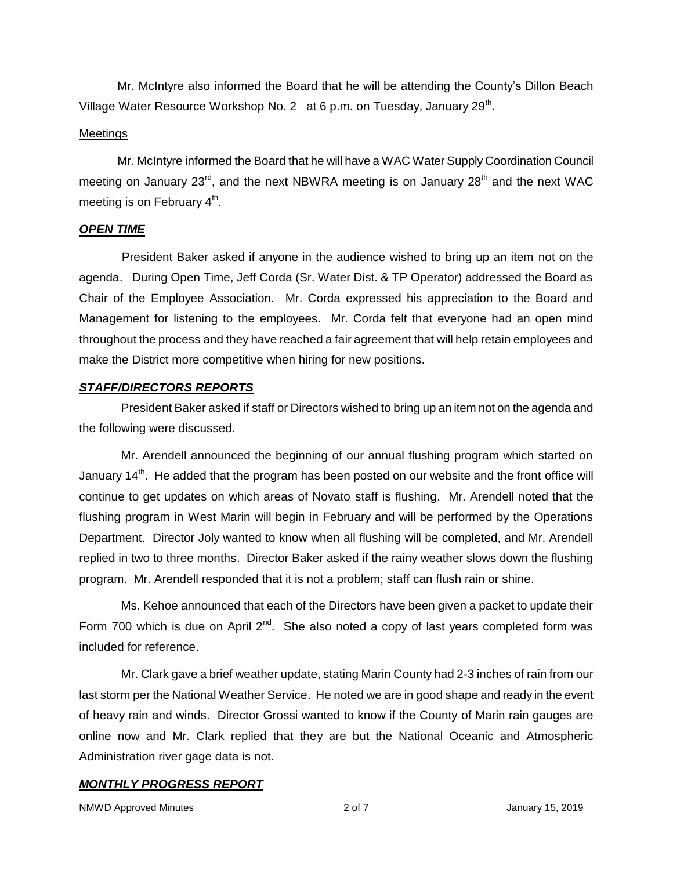Mr. McIntyre also informed the Board that he will be attending the County's Dillon Beach Village Water Resource Workshop No. 2 at 6 p.m. on Tuesday, January 29<sup>th</sup>.

### **Meetings**

Mr. McIntyre informed the Board that he will have a WAC Water Supply Coordination Council meeting on January 23<sup>rd</sup>, and the next NBWRA meeting is on January 28<sup>th</sup> and the next WAC meeting is on February  $4^{\text{th}}$ .

### *OPEN TIME*

President Baker asked if anyone in the audience wished to bring up an item not on the agenda. During Open Time, Jeff Corda (Sr. Water Dist. & TP Operator) addressed the Board as Chair of the Employee Association. Mr. Corda expressed his appreciation to the Board and Management for listening to the employees. Mr. Corda felt that everyone had an open mind throughout the process and they have reached a fair agreement that will help retain employees and make the District more competitive when hiring for new positions.

### *STAFF/DIRECTORS REPORTS*

President Baker asked if staff or Directors wished to bring up an item not on the agenda and the following were discussed.

Mr. Arendell announced the beginning of our annual flushing program which started on January 14<sup>th</sup>. He added that the program has been posted on our website and the front office will continue to get updates on which areas of Novato staff is flushing. Mr. Arendell noted that the flushing program in West Marin will begin in February and will be performed by the Operations Department. Director Joly wanted to know when all flushing will be completed, and Mr. Arendell replied in two to three months. Director Baker asked if the rainy weather slows down the flushing program. Mr. Arendell responded that it is not a problem; staff can flush rain or shine.

Ms. Kehoe announced that each of the Directors have been given a packet to update their Form 700 which is due on April  $2^{nd}$ . She also noted a copy of last years completed form was included for reference.

Mr. Clark gave a brief weather update, stating Marin County had 2-3 inches of rain from our last storm per the National Weather Service. He noted we are in good shape and ready in the event of heavy rain and winds. Director Grossi wanted to know if the County of Marin rain gauges are online now and Mr. Clark replied that they are but the National Oceanic and Atmospheric Administration river gage data is not.

# *MONTHLY PROGRESS REPORT*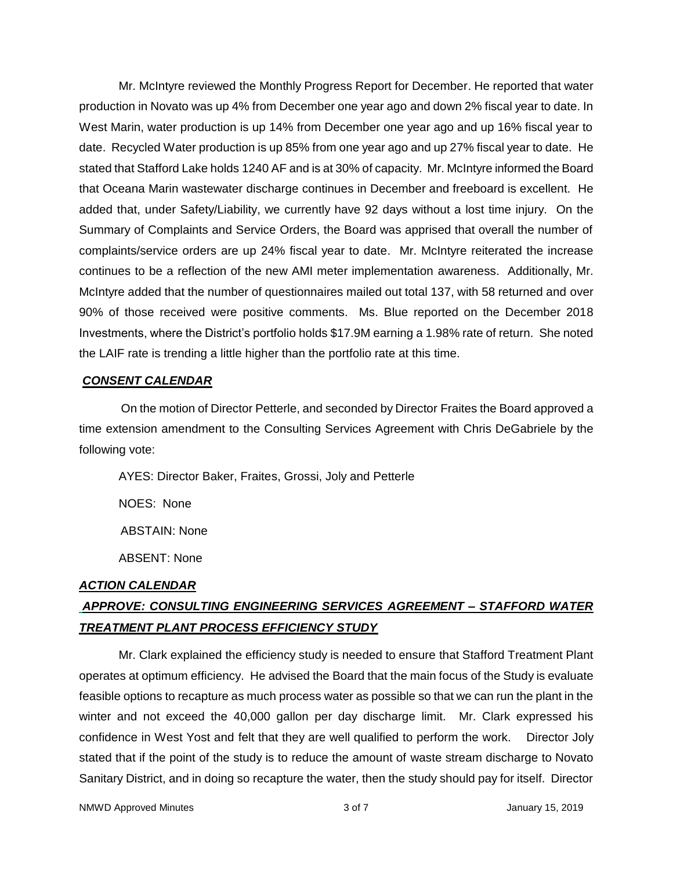Mr. McIntyre reviewed the Monthly Progress Report for December. He reported that water production in Novato was up 4% from December one year ago and down 2% fiscal year to date. In West Marin, water production is up 14% from December one year ago and up 16% fiscal year to date. Recycled Water production is up 85% from one year ago and up 27% fiscal year to date. He stated that Stafford Lake holds 1240 AF and is at 30% of capacity. Mr. McIntyre informed the Board that Oceana Marin wastewater discharge continues in December and freeboard is excellent. He added that, under Safety/Liability, we currently have 92 days without a lost time injury. On the Summary of Complaints and Service Orders, the Board was apprised that overall the number of complaints/service orders are up 24% fiscal year to date. Mr. McIntyre reiterated the increase continues to be a reflection of the new AMI meter implementation awareness. Additionally, Mr. McIntyre added that the number of questionnaires mailed out total 137, with 58 returned and over 90% of those received were positive comments. Ms. Blue reported on the December 2018 Investments, where the District's portfolio holds \$17.9M earning a 1.98% rate of return. She noted the LAIF rate is trending a little higher than the portfolio rate at this time.

### *CONSENT CALENDAR*

On the motion of Director Petterle, and seconded by Director Fraites the Board approved a time extension amendment to the Consulting Services Agreement with Chris DeGabriele by the following vote:

AYES: Director Baker, Fraites, Grossi, Joly and Petterle NOES: None ABSTAIN: None ABSENT: None

### *ACTION CALENDAR*

# *APPROVE: CONSULTING ENGINEERING SERVICES AGREEMENT – STAFFORD WATER TREATMENT PLANT PROCESS EFFICIENCY STUDY*

Mr. Clark explained the efficiency study is needed to ensure that Stafford Treatment Plant operates at optimum efficiency. He advised the Board that the main focus of the Study is evaluate feasible options to recapture as much process water as possible so that we can run the plant in the winter and not exceed the 40,000 gallon per day discharge limit. Mr. Clark expressed his confidence in West Yost and felt that they are well qualified to perform the work. Director Joly stated that if the point of the study is to reduce the amount of waste stream discharge to Novato Sanitary District, and in doing so recapture the water, then the study should pay for itself. Director

NMWD Approved Minutes and the state of 3 of 7 All 2019 and 3 of 7 All 2019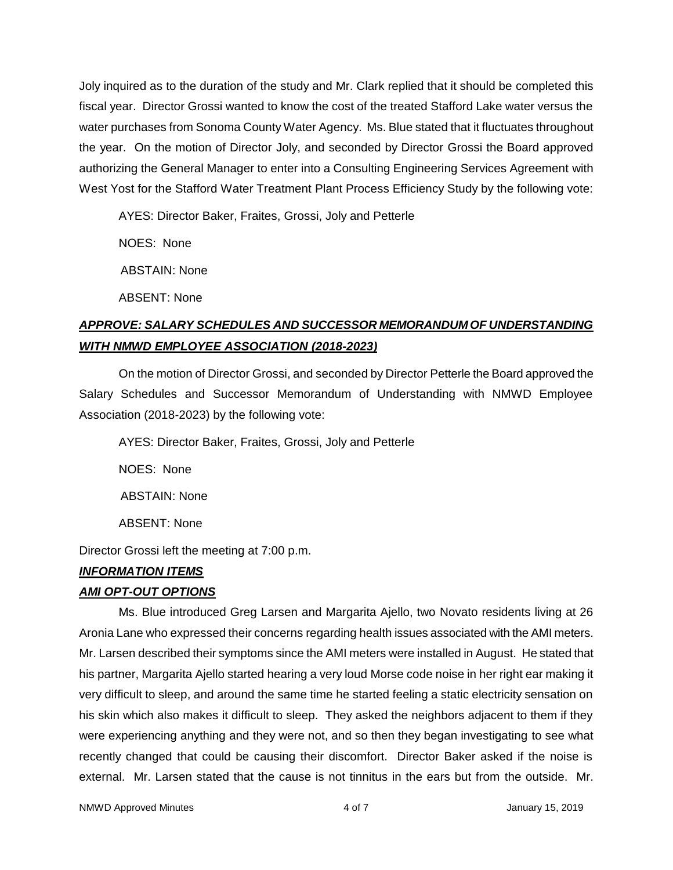Joly inquired as to the duration of the study and Mr. Clark replied that it should be completed this fiscal year. Director Grossi wanted to know the cost of the treated Stafford Lake water versus the water purchases from Sonoma County Water Agency. Ms. Blue stated that it fluctuates throughout the year. On the motion of Director Joly, and seconded by Director Grossi the Board approved authorizing the General Manager to enter into a Consulting Engineering Services Agreement with West Yost for the Stafford Water Treatment Plant Process Efficiency Study by the following vote:

AYES: Director Baker, Fraites, Grossi, Joly and Petterle

NOES: None

ABSTAIN: None

ABSENT: None

# *APPROVE: SALARY SCHEDULES AND SUCCESSOR MEMORANDUM OF UNDERSTANDING WITH NMWD EMPLOYEE ASSOCIATION (2018-2023)*

On the motion of Director Grossi, and seconded by Director Petterle the Board approved the Salary Schedules and Successor Memorandum of Understanding with NMWD Employee Association (2018-2023) by the following vote:

AYES: Director Baker, Fraites, Grossi, Joly and Petterle

NOES: None

ABSTAIN: None

ABSENT: None

Director Grossi left the meeting at 7:00 p.m.

# *INFORMATION ITEMS*

# *AMI OPT-OUT OPTIONS*

Ms. Blue introduced Greg Larsen and Margarita Ajello, two Novato residents living at 26 Aronia Lane who expressed their concerns regarding health issues associated with the AMI meters. Mr. Larsen described their symptoms since the AMI meters were installed in August. He stated that his partner, Margarita Ajello started hearing a very loud Morse code noise in her right ear making it very difficult to sleep, and around the same time he started feeling a static electricity sensation on his skin which also makes it difficult to sleep. They asked the neighbors adjacent to them if they were experiencing anything and they were not, and so then they began investigating to see what recently changed that could be causing their discomfort. Director Baker asked if the noise is external. Mr. Larsen stated that the cause is not tinnitus in the ears but from the outside. Mr.

NMWD Approved Minutes and the control of the 4 of 7 All 100 MMWD Approved Minutes and the 4 of 7 All 100 MMWD Approved Minutes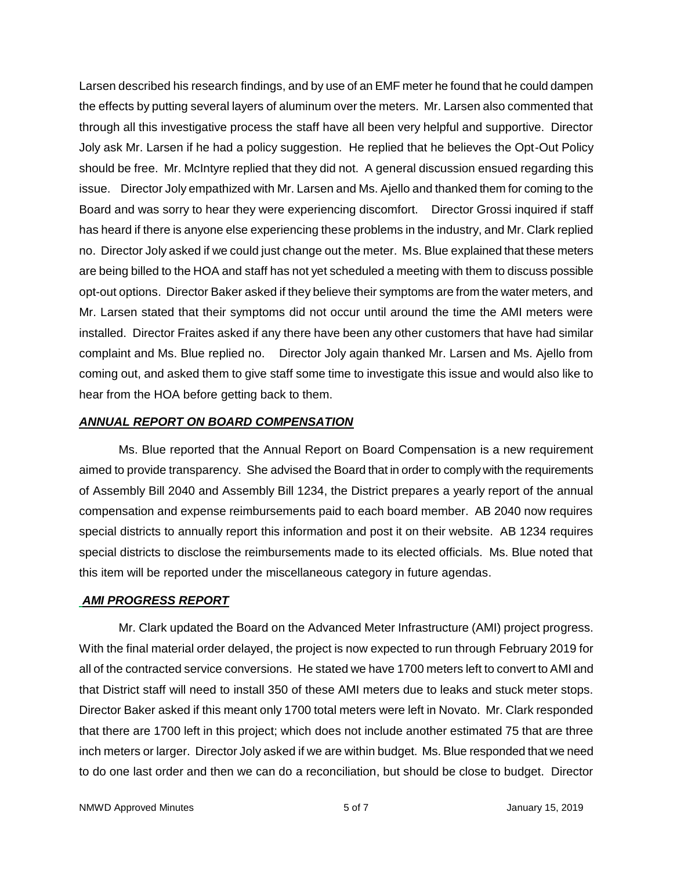Larsen described his research findings, and by use of an EMF meter he found that he could dampen the effects by putting several layers of aluminum over the meters. Mr. Larsen also commented that through all this investigative process the staff have all been very helpful and supportive. Director Joly ask Mr. Larsen if he had a policy suggestion. He replied that he believes the Opt-Out Policy should be free. Mr. McIntyre replied that they did not. A general discussion ensued regarding this issue. Director Joly empathized with Mr. Larsen and Ms. Ajello and thanked them for coming to the Board and was sorry to hear they were experiencing discomfort. Director Grossi inquired if staff has heard if there is anyone else experiencing these problems in the industry, and Mr. Clark replied no. Director Joly asked if we could just change out the meter. Ms. Blue explained that these meters are being billed to the HOA and staff has not yet scheduled a meeting with them to discuss possible opt-out options. Director Baker asked if they believe their symptoms are from the water meters, and Mr. Larsen stated that their symptoms did not occur until around the time the AMI meters were installed. Director Fraites asked if any there have been any other customers that have had similar complaint and Ms. Blue replied no. Director Joly again thanked Mr. Larsen and Ms. Ajello from coming out, and asked them to give staff some time to investigate this issue and would also like to hear from the HOA before getting back to them.

### *ANNUAL REPORT ON BOARD COMPENSATION*

Ms. Blue reported that the Annual Report on Board Compensation is a new requirement aimed to provide transparency. She advised the Board that in order to comply with the requirements of Assembly Bill 2040 and Assembly Bill 1234, the District prepares a yearly report of the annual compensation and expense reimbursements paid to each board member. AB 2040 now requires special districts to annually report this information and post it on their website. AB 1234 requires special districts to disclose the reimbursements made to its elected officials. Ms. Blue noted that this item will be reported under the miscellaneous category in future agendas.

### *AMI PROGRESS REPORT*

Mr. Clark updated the Board on the Advanced Meter Infrastructure (AMI) project progress. With the final material order delayed, the project is now expected to run through February 2019 for all of the contracted service conversions. He stated we have 1700 meters left to convert to AMI and that District staff will need to install 350 of these AMI meters due to leaks and stuck meter stops. Director Baker asked if this meant only 1700 total meters were left in Novato. Mr. Clark responded that there are 1700 left in this project; which does not include another estimated 75 that are three inch meters or larger. Director Joly asked if we are within budget. Ms. Blue responded that we need to do one last order and then we can do a reconciliation, but should be close to budget. Director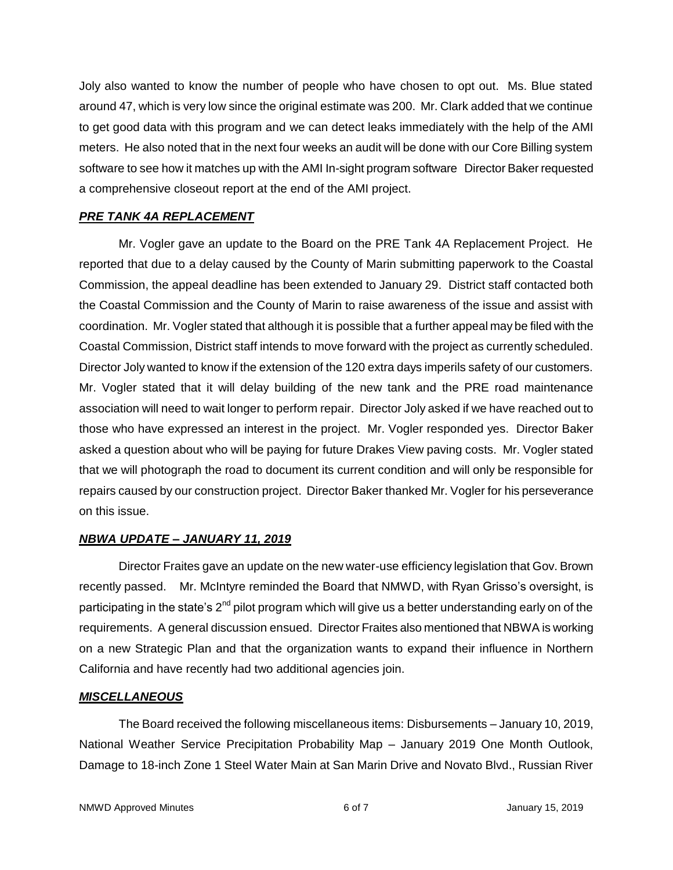Joly also wanted to know the number of people who have chosen to opt out. Ms. Blue stated around 47, which is very low since the original estimate was 200. Mr. Clark added that we continue to get good data with this program and we can detect leaks immediately with the help of the AMI meters. He also noted that in the next four weeks an audit will be done with our Core Billing system software to see how it matches up with the AMI In-sight program software Director Baker requested a comprehensive closeout report at the end of the AMI project.

### *PRE TANK 4A REPLACEMENT*

Mr. Vogler gave an update to the Board on the PRE Tank 4A Replacement Project. He reported that due to a delay caused by the County of Marin submitting paperwork to the Coastal Commission, the appeal deadline has been extended to January 29. District staff contacted both the Coastal Commission and the County of Marin to raise awareness of the issue and assist with coordination. Mr. Vogler stated that although it is possible that a further appeal may be filed with the Coastal Commission, District staff intends to move forward with the project as currently scheduled. Director Joly wanted to know if the extension of the 120 extra days imperils safety of our customers. Mr. Vogler stated that it will delay building of the new tank and the PRE road maintenance association will need to wait longer to perform repair. Director Joly asked if we have reached out to those who have expressed an interest in the project. Mr. Vogler responded yes. Director Baker asked a question about who will be paying for future Drakes View paving costs. Mr. Vogler stated that we will photograph the road to document its current condition and will only be responsible for repairs caused by our construction project. Director Baker thanked Mr. Vogler for his perseverance on this issue.

### *NBWA UPDATE – JANUARY 11, 2019*

Director Fraites gave an update on the new water-use efficiency legislation that Gov. Brown recently passed. Mr. McIntyre reminded the Board that NMWD, with Ryan Grisso's oversight, is participating in the state's 2<sup>nd</sup> pilot program which will give us a better understanding early on of the requirements. A general discussion ensued. Director Fraites also mentioned that NBWA is working on a new Strategic Plan and that the organization wants to expand their influence in Northern California and have recently had two additional agencies join.

### *MISCELLANEOUS*

The Board received the following miscellaneous items: Disbursements – January 10, 2019, National Weather Service Precipitation Probability Map – January 2019 One Month Outlook, Damage to 18-inch Zone 1 Steel Water Main at San Marin Drive and Novato Blvd., Russian River